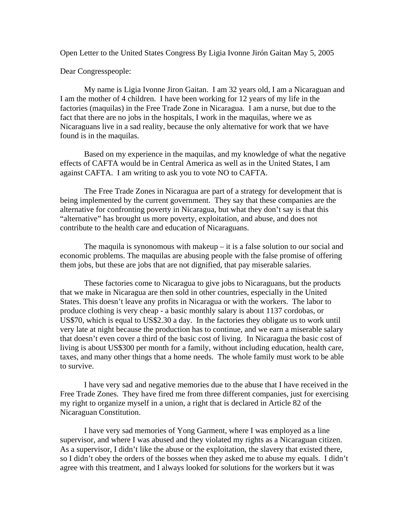Open Letter to the United States Congress By Ligia Ivonne Jirón Gaitan May 5, 2005

Dear Congresspeople:

 My name is Ligia Ivonne Jiron Gaitan. I am 32 years old, I am a Nicaraguan and I am the mother of 4 children. I have been working for 12 years of my life in the factories (maquilas) in the Free Trade Zone in Nicaragua. I am a nurse, but due to the fact that there are no jobs in the hospitals, I work in the maquilas, where we as Nicaraguans live in a sad reality, because the only alternative for work that we have found is in the maquilas.

 Based on my experience in the maquilas, and my knowledge of what the negative effects of CAFTA would be in Central America as well as in the United States, I am against CAFTA. I am writing to ask you to vote NO to CAFTA.

 The Free Trade Zones in Nicaragua are part of a strategy for development that is being implemented by the current government. They say that these companies are the alternative for confronting poverty in Nicaragua, but what they don't say is that this "alternative" has brought us more poverty, exploitation, and abuse, and does not contribute to the health care and education of Nicaraguans.

 The maquila is synonomous with makeup – it is a false solution to our social and economic problems. The maquilas are abusing people with the false promise of offering them jobs, but these are jobs that are not dignified, that pay miserable salaries.

 These factories come to Nicaragua to give jobs to Nicaraguans, but the products that we make in Nicaragua are then sold in other countries, especially in the United States. This doesn't leave any profits in Nicaragua or with the workers. The labor to produce clothing is very cheap - a basic monthly salary is about 1137 cordobas, or US\$70, which is equal to US\$2.30 a day. In the factories they obligate us to work until very late at night because the production has to continue, and we earn a miserable salary that doesn't even cover a third of the basic cost of living. In Nicaragua the basic cost of living is about US\$300 per month for a family, without including education, health care, taxes, and many other things that a home needs. The whole family must work to be able to survive.

 I have very sad and negative memories due to the abuse that I have received in the Free Trade Zones. They have fired me from three different companies, just for exercising my right to organize myself in a union, a right that is declared in Article 82 of the Nicaraguan Constitution.

 I have very sad memories of Yong Garment, where I was employed as a line supervisor, and where I was abused and they violated my rights as a Nicaraguan citizen. As a supervisor, I didn't like the abuse or the exploitation, the slavery that existed there, so I didn't obey the orders of the bosses when they asked me to abuse my equals. I didn't agree with this treatment, and I always looked for solutions for the workers but it was